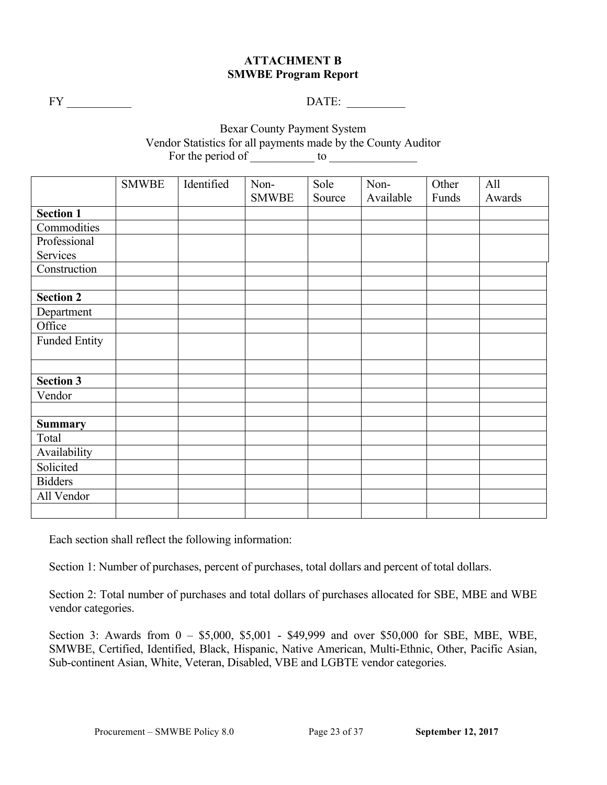## **ATTACHMENT B SMWBE Program Report**

FY \_\_\_\_\_\_\_\_\_\_\_ DATE: \_\_\_\_\_\_\_\_\_\_

Bexar County Payment System Vendor Statistics for all payments made by the County Auditor For the period of  $\_\_\_\_\_\_\_\$  to  $\_\_\_\_\_\_\_\_\_\_\_$ 

| <b>SMWBE</b> | Identified | Non- | Sole         | Non-   | Other     | All    |
|--------------|------------|------|--------------|--------|-----------|--------|
|              |            |      |              |        |           | Awards |
|              |            |      |              |        |           |        |
|              |            |      |              |        |           |        |
|              |            |      |              |        |           |        |
|              |            |      |              |        |           |        |
|              |            |      |              |        |           |        |
|              |            |      |              |        |           |        |
|              |            |      |              |        |           |        |
|              |            |      |              |        |           |        |
|              |            |      |              |        |           |        |
|              |            |      |              |        |           |        |
|              |            |      |              |        |           |        |
|              |            |      |              |        |           |        |
|              |            |      |              |        |           |        |
|              |            |      |              |        |           |        |
|              |            |      |              |        |           |        |
|              |            |      |              |        |           |        |
|              |            |      |              |        |           |        |
|              |            |      |              |        |           |        |
|              |            |      |              |        |           |        |
|              |            |      |              |        |           |        |
|              |            |      |              |        |           |        |
|              |            |      |              |        |           |        |
|              |            |      | <b>SMWBE</b> | Source | Available | Funds  |

Each section shall reflect the following information:

Section 1: Number of purchases, percent of purchases, total dollars and percent of total dollars.

Section 2: Total number of purchases and total dollars of purchases allocated for SBE, MBE and WBE vendor categories.

Section 3: Awards from 0 – \$5,000, \$5,001 - \$49,999 and over \$50,000 for SBE, MBE, WBE, SMWBE, Certified, Identified, Black, Hispanic, Native American, Multi-Ethnic, Other, Pacific Asian, Sub-continent Asian, White, Veteran, Disabled, VBE and LGBTE vendor categories.